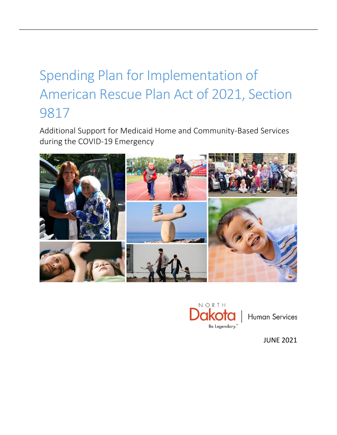# Spending Plan for Implementation of American Rescue Plan Act of 2021, Section 9817

Additional Support for Medicaid Home and Community-Based Services during the COVID-19 Emergency





**Human Services** 

JUNE 2021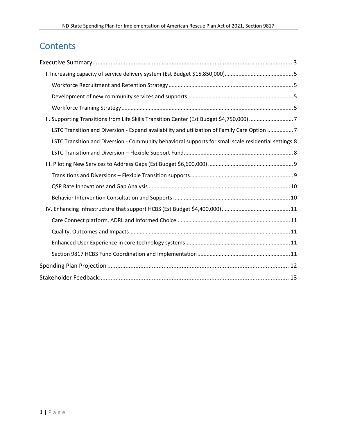# **Contents**

| II. Supporting Transitions from Life Skills Transition Center (Est Budget \$4,750,000) 7             |
|------------------------------------------------------------------------------------------------------|
| LSTC Transition and Diversion - Expand availability and utilization of Family Care Option 7          |
| LSTC Transition and Diversion - Community behavioral supports for small scale residential settings 8 |
|                                                                                                      |
|                                                                                                      |
|                                                                                                      |
|                                                                                                      |
|                                                                                                      |
|                                                                                                      |
|                                                                                                      |
|                                                                                                      |
|                                                                                                      |
|                                                                                                      |
|                                                                                                      |
|                                                                                                      |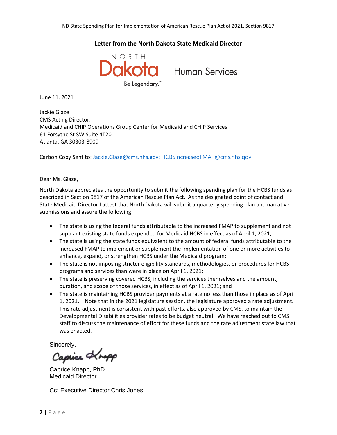#### **Letter from the North Dakota State Medicaid Director**



June 11, 2021

Jackie Glaze CMS Acting Director, Medicaid and CHIP Operations Group Center for Medicaid and CHIP Services 61 Forsythe St SW Suite 4T20 Atlanta, GA 30303-8909

Carbon Copy Sent to: [Jackie.Glaze@cms.hhs.gov;](mailto:Jackie.Glaze@cms.hhs.gov) [HCBSincreasedFMAP@cms.hhs.gov](mailto:HCBSincreasedFMAP@cms.hhs.gov)

#### Dear Ms. Glaze,

North Dakota appreciates the opportunity to submit the following spending plan for the HCBS funds as described in Section 9817 of the American Rescue Plan Act. As the designated point of contact and State Medicaid Director I attest that North Dakota will submit a quarterly spending plan and narrative submissions and assure the following:

- The state is using the federal funds attributable to the increased FMAP to supplement and not supplant existing state funds expended for Medicaid HCBS in effect as of April 1, 2021;
- The state is using the state funds equivalent to the amount of federal funds attributable to the increased FMAP to implement or supplement the implementation of one or more activities to enhance, expand, or strengthen HCBS under the Medicaid program;
- The state is not imposing stricter eligibility standards, methodologies, or procedures for HCBS programs and services than were in place on April 1, 2021;
- The state is preserving covered HCBS, including the services themselves and the amount, duration, and scope of those services, in effect as of April 1, 2021; and
- The state is maintaining HCBS provider payments at a rate no less than those in place as of April 1, 2021. Note that in the 2021 legislature session, the legislature approved a rate adjustment. This rate adjustment is consistent with past efforts, also approved by CMS, to maintain the Developmental Disabilities provider rates to be budget neutral. We have reached out to CMS staff to discuss the maintenance of effort for these funds and the rate adjustment state law that was enacted.

Sincerely,

Capice Knopp

Caprice Knapp, PhD Medicaid Director

Cc: Executive Director Chris Jones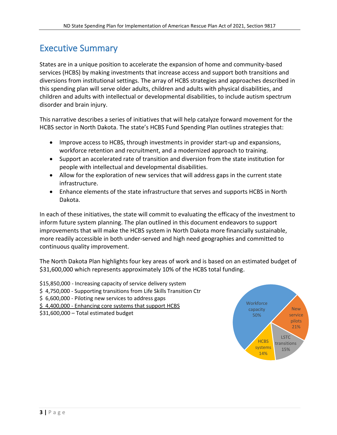### <span id="page-3-0"></span>Executive Summary

States are in a unique position to accelerate the expansion of home and community-based services (HCBS) by making investments that increase access and support both transitions and diversions from institutional settings. The array of HCBS strategies and approaches described in this spending plan will serve older adults, children and adults with physical disabilities, and children and adults with intellectual or developmental disabilities, to include autism spectrum disorder and brain injury.

This narrative describes a series of initiatives that will help catalyze forward movement for the HCBS sector in North Dakota. The state's HCBS Fund Spending Plan outlines strategies that:

- Improve access to HCBS, through investments in provider start-up and expansions, workforce retention and recruitment, and a modernized approach to training.
- Support an accelerated rate of transition and diversion from the state institution for people with intellectual and developmental disabilities.
- Allow for the exploration of new services that will address gaps in the current state infrastructure.
- Enhance elements of the state infrastructure that serves and supports HCBS in North Dakota.

In each of these initiatives, the state will commit to evaluating the efficacy of the investment to inform future system planning. The plan outlined in this document endeavors to support improvements that will make the HCBS system in North Dakota more financially sustainable, more readily accessible in both under-served and high need geographies and committed to continuous quality improvement.

The North Dakota Plan highlights four key areas of work and is based on an estimated budget of \$31,600,000 which represents approximately 10% of the HCBS total funding.

- \$15,850,000 Increasing capacity of service delivery system
- \$4,750,000 Supporting transitions from Life Skills Transition Ctr
- \$ 6,600,000 Piloting new services to address gaps
- \$ 4,400,000 Enhancing core systems that support HCBS

\$31,600,000 – Total estimated budget

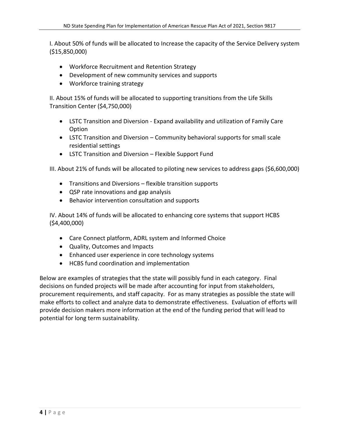I. About 50% of funds will be allocated to Increase the capacity of the Service Delivery system (\$15,850,000)

- Workforce Recruitment and Retention Strategy
- Development of new community services and supports
- Workforce training strategy

II. About 15% of funds will be allocated to supporting transitions from the Life Skills Transition Center (\$4,750,000)

- LSTC Transition and Diversion Expand availability and utilization of Family Care Option
- LSTC Transition and Diversion Community behavioral supports for small scale residential settings
- LSTC Transition and Diversion Flexible Support Fund

III. About 21% of funds will be allocated to piloting new services to address gaps (\$6,600,000)

- Transitions and Diversions flexible transition supports
- QSP rate innovations and gap analysis
- Behavior intervention consultation and supports

IV. About 14% of funds will be allocated to enhancing core systems that support HCBS (\$4,400,000)

- Care Connect platform, ADRL system and Informed Choice
- Quality, Outcomes and Impacts
- Enhanced user experience in core technology systems
- HCBS fund coordination and implementation

Below are examples of strategies that the state will possibly fund in each category. Final decisions on funded projects will be made after accounting for input from stakeholders, procurement requirements, and staff capacity. For as many strategies as possible the state will make efforts to collect and analyze data to demonstrate effectiveness. Evaluation of efforts will provide decision makers more information at the end of the funding period that will lead to potential for long term sustainability.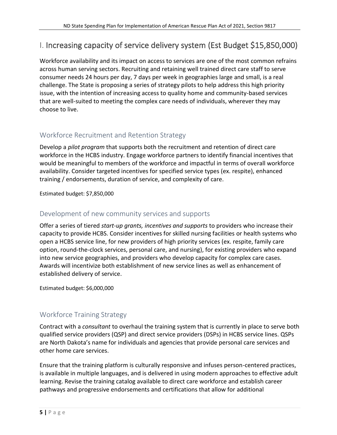### <span id="page-5-0"></span>I. Increasing capacity of service delivery system (Est Budget \$15,850,000)

Workforce availability and its impact on access to services are one of the most common refrains across human serving sectors. Recruiting and retaining well trained direct care staff to serve consumer needs 24 hours per day, 7 days per week in geographies large and small, is a real challenge. The State is proposing a series of strategy pilots to help address this high priority issue, with the intention of increasing access to quality home and community-based services that are well-suited to meeting the complex care needs of individuals, wherever they may choose to live.

### <span id="page-5-1"></span>Workforce Recruitment and Retention Strategy

Develop a *pilot program* that supports both the recruitment and retention of direct care workforce in the HCBS industry. Engage workforce partners to identify financial incentives that would be meaningful to members of the workforce and impactful in terms of overall workforce availability. Consider targeted incentives for specified service types (ex. respite), enhanced training / endorsements, duration of service, and complexity of care.

Estimated budget: \$7,850,000

### <span id="page-5-2"></span>Development of new community services and supports

Offer a series of tiered *start-up grants, incentives and supports* to providers who increase their capacity to provide HCBS. Consider incentives for skilled nursing facilities or health systems who open a HCBS service line, for new providers of high priority services (ex. respite, family care option, round-the-clock services, personal care, and nursing), for existing providers who expand into new service geographies, and providers who develop capacity for complex care cases. Awards will incentivize both establishment of new service lines as well as enhancement of established delivery of service.

Estimated budget: \$6,000,000

### <span id="page-5-3"></span>Workforce Training Strategy

Contract with a *consultant* to overhaul the training system that is currently in place to serve both qualified service providers (QSP) and direct service providers (DSPs) in HCBS service lines. QSPs are North Dakota's name for individuals and agencies that provide personal care services and other home care services.

Ensure that the training platform is culturally responsive and infuses person-centered practices, is available in multiple languages, and is delivered in using modern approaches to effective adult learning. Revise the training catalog available to direct care workforce and establish career pathways and progressive endorsements and certifications that allow for additional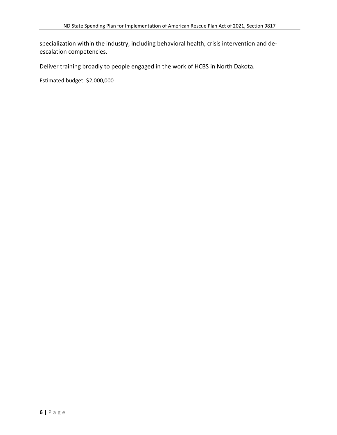specialization within the industry, including behavioral health, crisis intervention and deescalation competencies.

Deliver training broadly to people engaged in the work of HCBS in North Dakota.

Estimated budget: \$2,000,000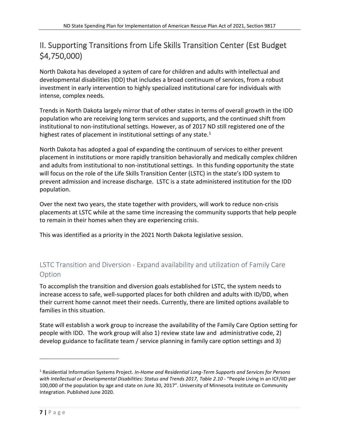### <span id="page-7-0"></span>II. Supporting Transitions from Life Skills Transition Center (Est Budget \$4,750,000)

North Dakota has developed a system of care for children and adults with intellectual and developmental disabilities (IDD) that includes a broad continuum of services, from a robust investment in early intervention to highly specialized institutional care for individuals with intense, complex needs.

Trends in North Dakota largely mirror that of other states in terms of overall growth in the IDD population who are receiving long term services and supports, and the continued shift from institutional to non-institutional settings. However, as of 2017 ND still registered one of the highest rates of placement in institutional settings of any state. $1$ 

North Dakota has adopted a goal of expanding the continuum of services to either prevent placement in institutions or more rapidly transition behaviorally and medically complex children and adults from institutional to non-institutional settings. In this funding opportunity the state will focus on the role of the Life Skills Transition Center (LSTC) in the state's IDD system to prevent admission and increase discharge. LSTC is a state administered institution for the IDD population.

Over the next two years, the state together with providers, will work to reduce non-crisis placements at LSTC while at the same time increasing the community supports that help people to remain in their homes when they are experiencing crisis.

This was identified as a priority in the 2021 North Dakota legislative session.

### <span id="page-7-1"></span>LSTC Transition and Diversion - Expand availability and utilization of Family Care Option

To accomplish the transition and diversion goals established for LSTC, the system needs to increase access to safe, well-supported places for both children and adults with ID/DD, when their current home cannot meet their needs. Currently, there are limited options available to families in this situation.

State will establish a work group to increase the availability of the Family Care Option setting for people with IDD. The work group will also 1) review state law and administrative code, 2) develop guidance to facilitate team / service planning in family care option settings and 3)

<sup>1</sup> Residential Information Systems Project. *In-Home and Residential Long-Term Supports and Services for Persons with Intellectual or Developmental Disabilities: Status and Trends 2017, Table 2.10 -* "People Living in an ICF/IID per 100,000 of the population by age and state on June 30, 2017". University of Minnesota Institute on Community Integration. Published June 2020.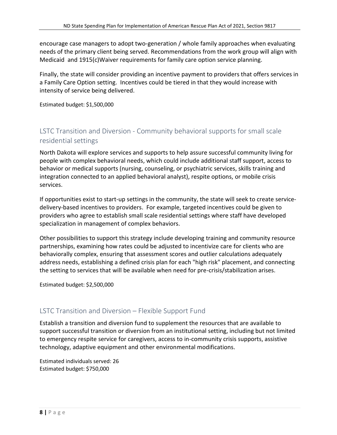encourage case managers to adopt two-generation / whole family approaches when evaluating needs of the primary client being served. Recommendations from the work group will align with Medicaid and 1915(c)Waiver requirements for family care option service planning.

Finally, the state will consider providing an incentive payment to providers that offers services in a Family Care Option setting. Incentives could be tiered in that they would increase with intensity of service being delivered.

Estimated budget: \$1,500,000

### <span id="page-8-0"></span>LSTC Transition and Diversion - Community behavioral supports for small scale residential settings

North Dakota will explore services and supports to help assure successful community living for people with complex behavioral needs, which could include additional staff support, access to behavior or medical supports (nursing, counseling, or psychiatric services, skills training and integration connected to an applied behavioral analyst), respite options, or mobile crisis services.

If opportunities exist to start-up settings in the community, the state will seek to create servicedelivery-based incentives to providers. For example, targeted incentives could be given to providers who agree to establish small scale residential settings where staff have developed specialization in management of complex behaviors.

Other possibilities to support this strategy include developing training and community resource partnerships, examining how rates could be adjusted to incentivize care for clients who are behaviorally complex, ensuring that assessment scores and outlier calculations adequately address needs, establishing a defined crisis plan for each "high risk" placement, and connecting the setting to services that will be available when need for pre-crisis/stabilization arises.

Estimated budget: \$2,500,000

### <span id="page-8-1"></span>LSTC Transition and Diversion – Flexible Support Fund

Establish a transition and diversion fund to supplement the resources that are available to support successful transition or diversion from an institutional setting, including but not limited to emergency respite service for caregivers, access to in-community crisis supports, assistive technology, adaptive equipment and other environmental modifications.

Estimated individuals served: 26 Estimated budget: \$750,000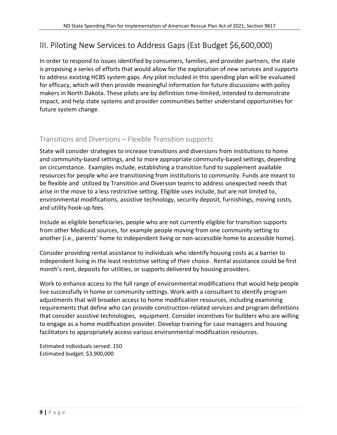### <span id="page-9-0"></span>III. Piloting New Services to Address Gaps (Est Budget \$6,600,000)

In order to respond to issues identified by consumers, families, and provider partners, the state is proposing a series of efforts that would allow for the exploration of new services and supports to address existing HCBS system gaps. Any pilot included in this spending plan will be evaluated for efficacy, which will then provide meaningful information for future discussions with policy makers in North Dakota. These pilots are by definition time-limited, intended to demonstrate impact, and help state systems and provider communities better understand opportunities for future system change.

### <span id="page-9-1"></span>Transitions and Diversions – Flexible Transition supports

State will consider strategies to increase transitions and diversions from institutions to home and community-based settings, and to more appropriate community-based settings, depending on circumstance. Examples include, establishing a transition fund to supplement available resources for people who are transitioning from institutions to community. Funds are meant to be flexible and utilized by Transition and Diversion teams to address unexpected needs that arise in the move to a less restrictive setting. Eligible uses include, but are not limited to, environmental modifications, assistive technology, security deposit, furnishings, moving costs, and utility hook-up fees.

Include as eligible beneficiaries, people who are not currently eligible for transition supports from other Medicaid sources, for example people moving from one community setting to another (i.e., parents' home to independent living or non-accessible home to accessible home).

Consider providing rental assistance to individuals who identify housing costs as a barrier to independent living in the least restrictive setting of their choice. Rental assistance could be first month's rent, deposits for utilities, or supports delivered by housing providers.

Work to enhance access to the full range of environmental modifications that would help people live successfully in home or community settings. Work with a consultant to identify program adjustments that will broaden access to home modification resources, including examining requirements that define who can provide construction-related services and program definitions that consider assistive technologies, equipment. Consider incentives for builders who are willing to engage as a home modification provider. Develop training for case managers and housing facilitators to appropriately access various environmental modification resources.

Estimated individuals served: 150 Estimated budget: \$3,900,000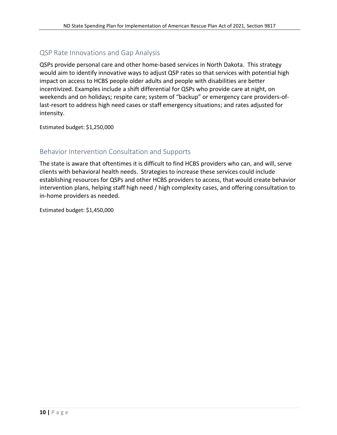### <span id="page-10-0"></span>QSP Rate Innovations and Gap Analysis

QSPs provide personal care and other home-based services in North Dakota. This strategy would aim to identify innovative ways to adjust QSP rates so that services with potential high impact on access to HCBS people older adults and people with disabilities are better incentivized. Examples include a shift differential for QSPs who provide care at night, on weekends and on holidays; respite care; system of "backup" or emergency care providers-oflast-resort to address high need cases or staff emergency situations; and rates adjusted for intensity.

Estimated budget: \$1,250,000

### <span id="page-10-1"></span>Behavior Intervention Consultation and Supports

The state is aware that oftentimes it is difficult to find HCBS providers who can, and will, serve clients with behavioral health needs. Strategies to increase these services could include establishing resources for QSPs and other HCBS providers to access, that would create behavior intervention plans, helping staff high need / high complexity cases, and offering consultation to in-home providers as needed.

Estimated budget: \$1,450,000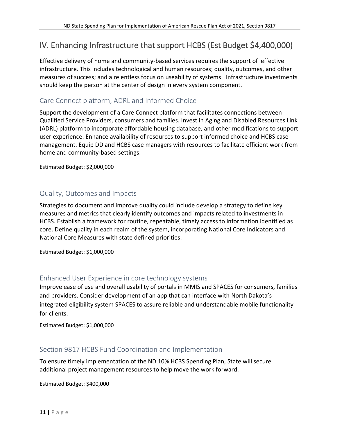### <span id="page-11-0"></span>IV. Enhancing Infrastructure that support HCBS (Est Budget \$4,400,000)

Effective delivery of home and community-based services requires the support of effective infrastructure. This includes technological and human resources; quality, outcomes, and other measures of success; and a relentless focus on useability of systems. Infrastructure investments should keep the person at the center of design in every system component.

### <span id="page-11-1"></span>Care Connect platform, ADRL and Informed Choice

Support the development of a Care Connect platform that facilitates connections between Qualified Service Providers, consumers and families. Invest in Aging and Disabled Resources Link (ADRL) platform to incorporate affordable housing database, and other modifications to support user experience. Enhance availability of resources to support informed choice and HCBS case management. Equip DD and HCBS case managers with resources to facilitate efficient work from home and community-based settings.

Estimated Budget: \$2,000,000

#### <span id="page-11-2"></span>Quality, Outcomes and Impacts

Strategies to document and improve quality could include develop a strategy to define key measures and metrics that clearly identify outcomes and impacts related to investments in HCBS. Establish a framework for routine, repeatable, timely access to information identified as core. Define quality in each realm of the system, incorporating National Core Indicators and National Core Measures with state defined priorities.

Estimated Budget: \$1,000,000

#### <span id="page-11-3"></span>Enhanced User Experience in core technology systems

Improve ease of use and overall usability of portals in MMIS and SPACES for consumers, families and providers. Consider development of an app that can interface with North Dakota's integrated eligibility system SPACES to assure reliable and understandable mobile functionality for clients.

Estimated Budget: \$1,000,000

#### <span id="page-11-4"></span>Section 9817 HCBS Fund Coordination and Implementation

To ensure timely implementation of the ND 10% HCBS Spending Plan, State will secure additional project management resources to help move the work forward.

Estimated Budget: \$400,000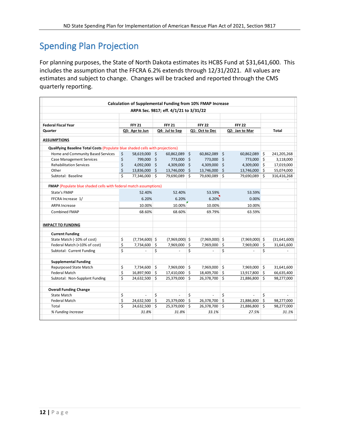## <span id="page-12-0"></span>Spending Plan Projection

For planning purposes, the State of North Dakota estimates its HCBS Fund at \$31,641,600. This includes the assumption that the FFCRA 6.2% extends through 12/31/2021. All values are estimates and subject to change. Changes will be tracked and reported through the CMS quarterly reporting.

|                                                                               |                |                  |                    | ARPA Sec. 9817; eff. 4/1/21 to 3/31/22 |                |                  |                |                  |     |              |
|-------------------------------------------------------------------------------|----------------|------------------|--------------------|----------------------------------------|----------------|------------------|----------------|------------------|-----|--------------|
|                                                                               |                |                  |                    |                                        |                |                  |                |                  |     |              |
| <b>Federal Fiscal Year</b>                                                    |                | <b>FFY 21</b>    |                    | <b>FFY 21</b>                          |                | <b>FFY 22</b>    |                | <b>FFY 22</b>    |     |              |
| Quarter                                                                       | Q3: Apr to Jun |                  | Q4: Jul to Sep     |                                        | Q1: Oct to Dec |                  | Q2: Jan to Mar |                  |     | Total        |
| <b>ASSUMPTIONS</b>                                                            |                |                  |                    |                                        |                |                  |                |                  |     |              |
| Qualifying Baseline Total Costs (Populate blue shaded cells with projections) |                |                  |                    |                                        |                |                  |                |                  |     |              |
| Home and Community Based Services                                             | \$             | 58,619,000 \$    |                    | 60,862,089                             | -\$            | 60,862,089       | \$             | 60,862,089       | \$. | 241,205,268  |
| <b>Case Management Services</b>                                               | \$             | 799,000 \$       |                    | 773,000 \$                             |                | 773,000          | \$             | 773,000 \$       |     | 3,118,000    |
| <b>Rehabilitation Services</b>                                                | \$             | 4,092,000 \$     |                    | 4,309,000                              | $\zeta$        | 4,309,000        | Ś              | 4,309,000 \$     |     | 17,019,000   |
| Other                                                                         | \$             | 13,836,000 \$    |                    | 13,746,000                             | \$             | 13,746,000       | Ś              | 13,746,000       | Ŝ.  | 55,074,000   |
| Subtotal: Baseline                                                            | \$             | 77,346,000       | \$                 | 79,690,089                             | Ś              | 79,690,089       | \$             | 79,690,089       | \$  | 316,416,268  |
| <b>FMAP</b> (Populate blue shaded cells with federal match assumptions)       |                |                  |                    |                                        |                |                  |                |                  |     |              |
| State's FMAP                                                                  |                | 52.40%           |                    | 52.40%                                 |                | 53.59%           |                | 53.59%           |     |              |
| FFCRA Increase 1/                                                             |                | 6.20%            |                    | 6.20%                                  |                | 6.20%            |                | 0.00%            |     |              |
| <b>ARPA Increase</b>                                                          |                | 10.00%           |                    | 10.00%                                 |                | 10.00%           |                | 10.00%           |     |              |
| <b>Combined FMAP</b>                                                          |                | 68.60%           |                    | 68.60%                                 |                | 69.79%           |                | 63.59%           |     |              |
| <b>IMPACT TO FUNDING</b>                                                      |                |                  |                    |                                        |                |                  |                |                  |     |              |
| <b>Current Funding</b>                                                        |                |                  |                    |                                        |                |                  |                |                  |     |              |
| State Match (-10% of cost)                                                    | \$             | $(7,734,600)$ \$ |                    | $(7,969,000)$ \$                       |                | $(7,969,000)$ \$ |                | $(7,969,000)$ \$ |     | (31,641,600) |
| Federal Match (+10% of cost)                                                  | \$             | 7,734,600        | \$                 | 7,969,000                              | \$             | 7,969,000        | \$             | 7,969,000        | \$  | 31,641,600   |
| Subtotal: Current Funding                                                     | \$             | ä,               | \$                 | ÷,                                     | \$             |                  | \$             | ÷,               | \$  |              |
| <b>Supplemental Funding</b>                                                   |                |                  |                    |                                        |                |                  |                |                  |     |              |
| Repurposed State Match                                                        | \$             | 7,734,600        | \$                 | 7,969,000 \$                           |                | 7,969,000        | \$             | 7,969,000        | \$  | 31,641,600   |
| <b>Federal Match</b>                                                          | \$             | 16,897,900       | $\mathsf{\hat{S}}$ | 17,410,000 \$                          |                | 18,409,700       | \$             | 13,917,800       | Ŝ.  | 66,635,400   |
| Subtotal: Non-Supplant Funding                                                | Ś              | 24,632,500       | $\mathsf{\dot{S}}$ | 25,379,000 \$                          |                | 26,378,700       | Ś              | 21,886,800       | Ś.  | 98,277,000   |
| <b>Overall Funding Change</b>                                                 |                |                  |                    |                                        |                |                  |                |                  |     |              |
| <b>State Match</b>                                                            | \$             | L                | \$                 | ÷,                                     | \$             |                  | \$             | L,               | \$  |              |
| <b>Federal Match</b>                                                          | \$             | 24,632,500       | \$                 | 25,379,000                             | \$             | 26,378,700       | Ś              | 21,886,800       | Ś   | 98,277,000   |
| Total                                                                         | Ś              | 24,632,500       | $\mathsf{\hat{S}}$ | 25,379,000 \$                          |                | 26,378,700       | \$             | 21,886,800       | Ś.  | 98,277,000   |
| % Funding Increase                                                            |                | 31.8%            |                    | 31.8%                                  |                | 33.1%            |                | 27.5%            |     | 31.1%        |